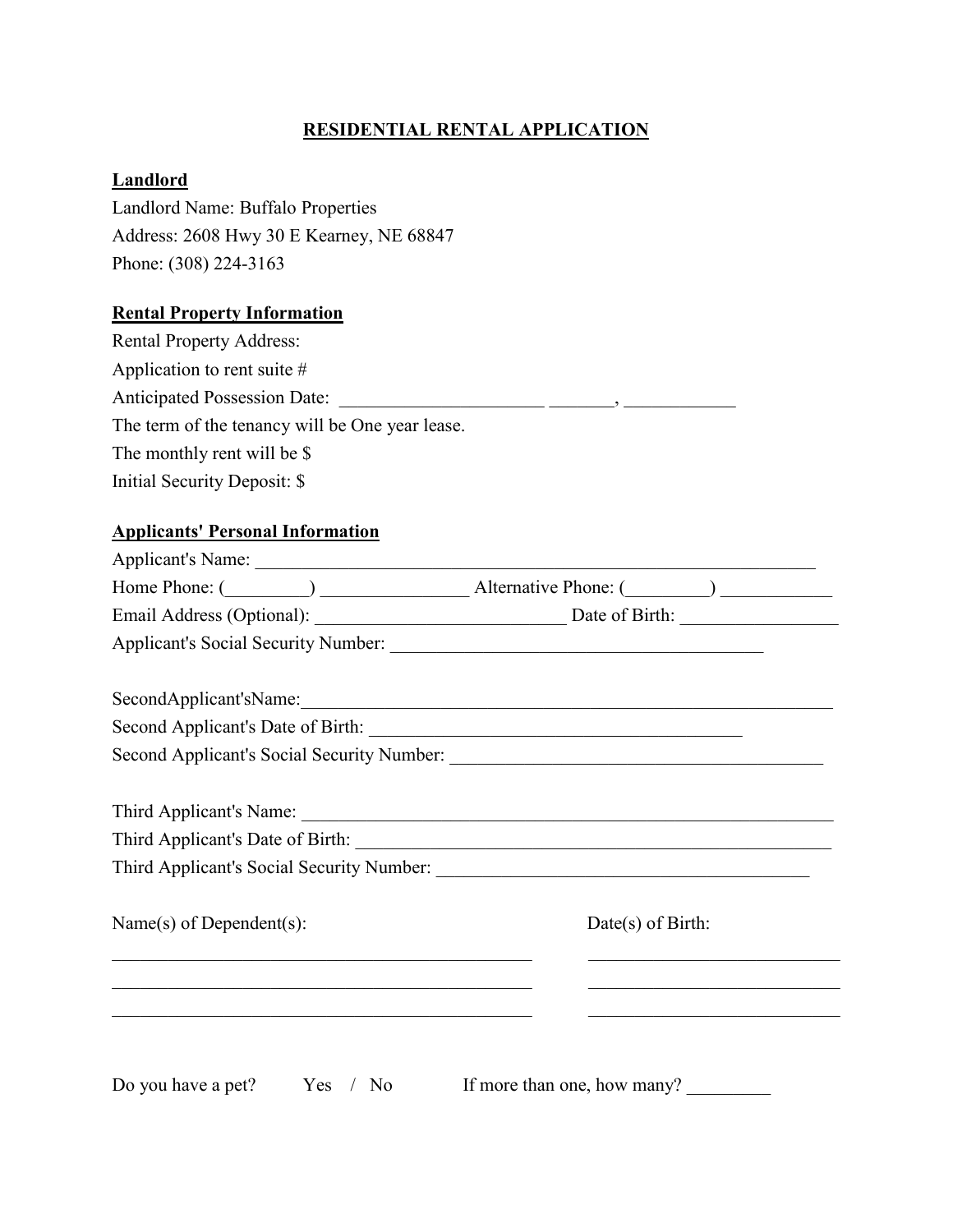# **RESIDENTIAL RENTAL APPLICATION**

### **Landlord**

Landlord Name: Buffalo Properties Address: 2608 Hwy 30 E Kearney, NE 68847 Phone: (308) 224-3163

#### **Rental Property Information**

| <b>Rental Property Address:</b>                 |  |
|-------------------------------------------------|--|
| Application to rent suite $#$                   |  |
| <b>Anticipated Possession Date:</b>             |  |
| The term of the tenancy will be One year lease. |  |
| The monthly rent will be \$                     |  |
| Initial Security Deposit: \$                    |  |

#### **Applicants' Personal Information**

|                                                             | Home Phone: (Champione Latternative Phone: (Champione Latternative Phone: (Champione Latternative Phone: (Champione Latternative Phone: (Champione Latternative Phone: (Champione Latternative Phone: (Champione Latternative |
|-------------------------------------------------------------|-------------------------------------------------------------------------------------------------------------------------------------------------------------------------------------------------------------------------------|
|                                                             |                                                                                                                                                                                                                               |
|                                                             |                                                                                                                                                                                                                               |
| SecondApplicant'sName:                                      |                                                                                                                                                                                                                               |
|                                                             |                                                                                                                                                                                                                               |
|                                                             |                                                                                                                                                                                                                               |
| Third Applicant's Name: 1988. Third Applicant's Name: 1988. |                                                                                                                                                                                                                               |
|                                                             |                                                                                                                                                                                                                               |
|                                                             |                                                                                                                                                                                                                               |
| Name $(s)$ of Dependent $(s)$ :                             | $Date(s)$ of Birth:                                                                                                                                                                                                           |
| <u> 1989 - Johann Stoff, amerikansk politiker (d. 1989)</u> | <u> 1980 - Johann John Stein, market fan it ferskearre fan it ferskearre fan it ferskearre fan it ferskearre fan i</u>                                                                                                        |
|                                                             |                                                                                                                                                                                                                               |
| Do you have a pet? $Yes / No$                               | If more than one, how many?                                                                                                                                                                                                   |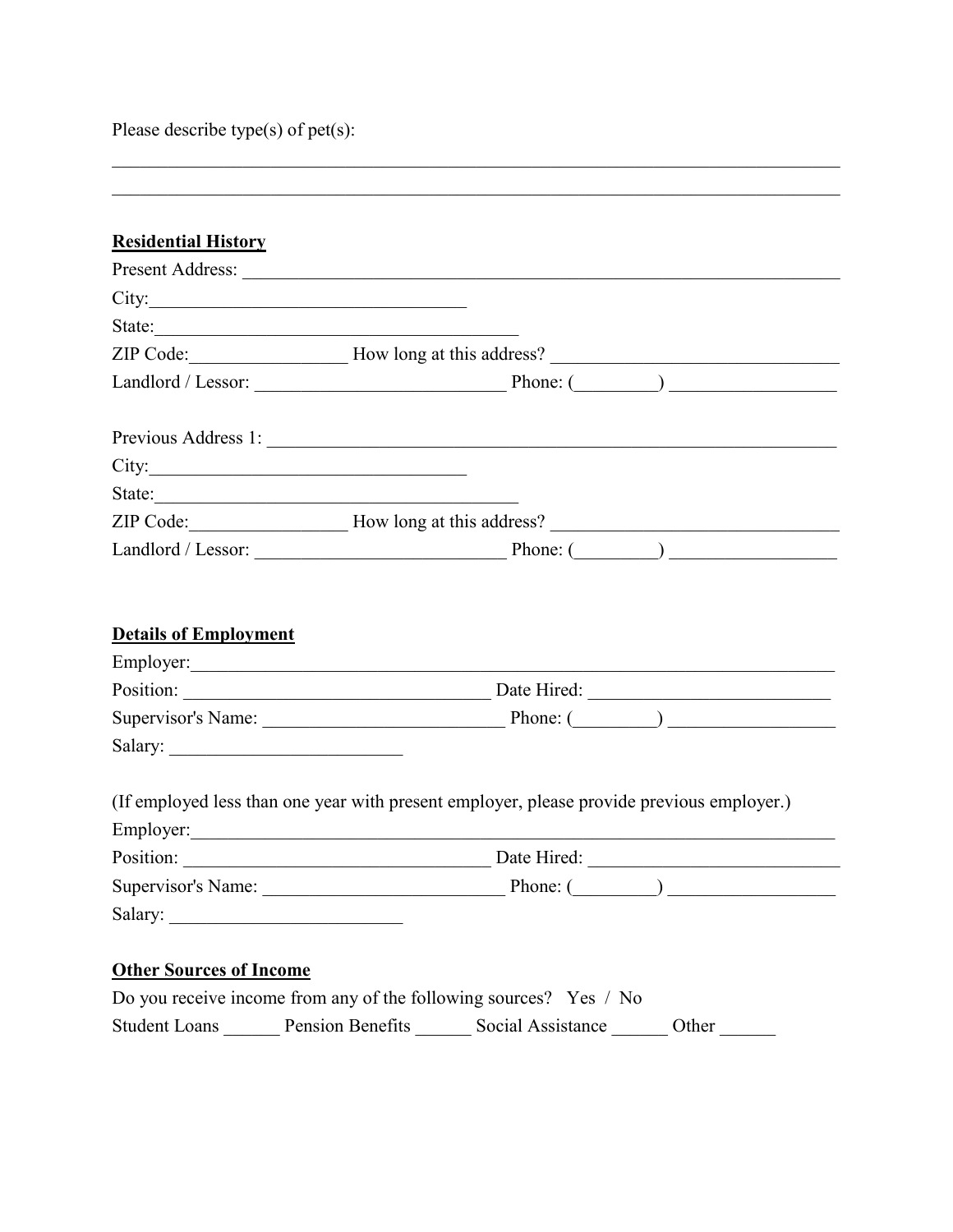Please describe type(s) of pet(s):

|                                | State:           |                                                                                                                                                                                                                                                                    |  |
|--------------------------------|------------------|--------------------------------------------------------------------------------------------------------------------------------------------------------------------------------------------------------------------------------------------------------------------|--|
|                                |                  |                                                                                                                                                                                                                                                                    |  |
|                                |                  |                                                                                                                                                                                                                                                                    |  |
|                                |                  |                                                                                                                                                                                                                                                                    |  |
|                                | City:            |                                                                                                                                                                                                                                                                    |  |
|                                | State:           |                                                                                                                                                                                                                                                                    |  |
|                                |                  |                                                                                                                                                                                                                                                                    |  |
|                                |                  | Landlord / Lessor: Phone: (Campaigneer)                                                                                                                                                                                                                            |  |
|                                |                  | Employer: Note that the set of the set of the set of the set of the set of the set of the set of the set of the set of the set of the set of the set of the set of the set of the set of the set of the set of the set of the<br>Position: Date Hired: Date Hired: |  |
|                                |                  |                                                                                                                                                                                                                                                                    |  |
|                                |                  |                                                                                                                                                                                                                                                                    |  |
|                                |                  | (If employed less than one year with present employer, please provide previous employer.)                                                                                                                                                                          |  |
|                                |                  |                                                                                                                                                                                                                                                                    |  |
|                                |                  |                                                                                                                                                                                                                                                                    |  |
|                                |                  |                                                                                                                                                                                                                                                                    |  |
| <b>Other Sources of Income</b> |                  |                                                                                                                                                                                                                                                                    |  |
|                                |                  | Do you receive income from any of the following sources? Yes / No                                                                                                                                                                                                  |  |
| <b>Student Loans</b>           | Pension Benefits | Social Assistance<br>Other                                                                                                                                                                                                                                         |  |

 $\_$  $\overline{\phantom{a}}$  , and the set of the set of the set of the set of the set of the set of the set of the set of the set of the set of the set of the set of the set of the set of the set of the set of the set of the set of the s